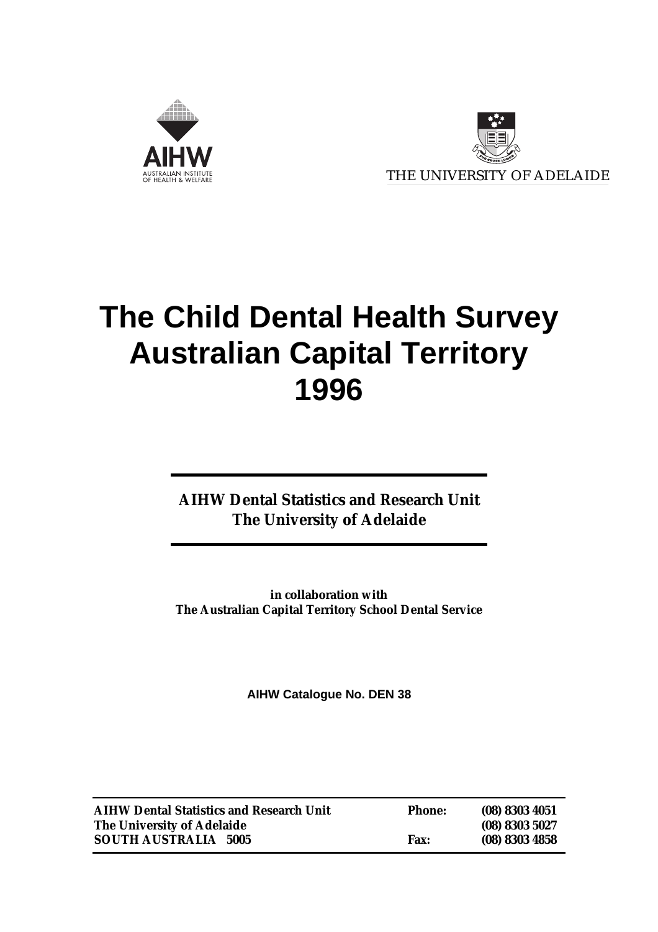



# **The Child Dental Health Survey Australian Capital Territory 1996**

**AIHW Dental Statistics and Research Unit The University of Adelaide**

**in collaboration with The Australian Capital Territory School Dental Service**

**AIHW Catalogue No. DEN 38**

| <b>AIHW Dental Statistics and Research Unit</b> | <b>Phone:</b> | $(08)$ 8303 4051 |
|-------------------------------------------------|---------------|------------------|
| The University of Adelaide                      |               | $(08)$ 8303 5027 |
| <b>SOUTH AUSTRALIA 5005</b>                     | <b>Fax:</b>   | $(08)$ 8303 4858 |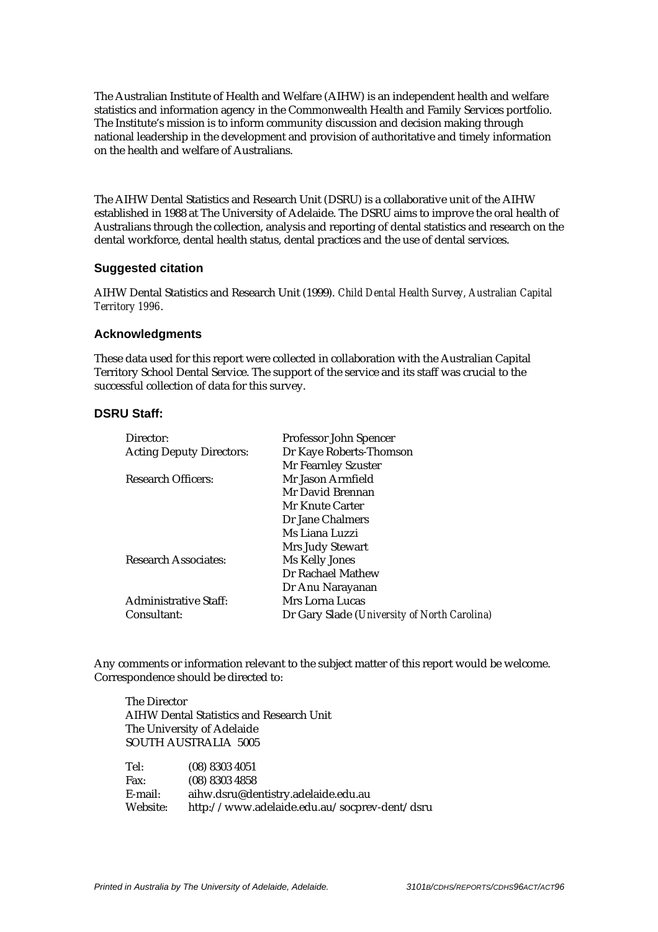The Australian Institute of Health and Welfare (AIHW) is an independent health and welfare statistics and information agency in the Commonwealth Health and Family Services portfolio. The Institute's mission is to inform community discussion and decision making through national leadership in the development and provision of authoritative and timely information on the health and welfare of Australians.

The AIHW Dental Statistics and Research Unit (DSRU) is a collaborative unit of the AIHW established in 1988 at The University of Adelaide. The DSRU aims to improve the oral health of Australians through the collection, analysis and reporting of dental statistics and research on the dental workforce, dental health status, dental practices and the use of dental services.

#### **Suggested citation**

AIHW Dental Statistics and Research Unit (1999). *Child Dental Health Survey, Australian Capital Territory 1996*.

#### **Acknowledgments**

These data used for this report were collected in collaboration with the Australian Capital Territory School Dental Service. The support of the service and its staff was crucial to the successful collection of data for this survey.

#### **DSRU Staff:**

| Director:                       | Professor John Spencer                       |
|---------------------------------|----------------------------------------------|
| <b>Acting Deputy Directors:</b> | Dr Kaye Roberts-Thomson                      |
|                                 | Mr Fearnley Szuster                          |
| <b>Research Officers:</b>       | Mr Jason Armfield                            |
|                                 | Mr David Brennan                             |
|                                 | Mr Knute Carter                              |
|                                 | Dr Jane Chalmers                             |
|                                 | Ms Liana Luzzi                               |
|                                 | Mrs Judy Stewart                             |
| <b>Research Associates:</b>     | Ms Kelly Jones                               |
|                                 | Dr Rachael Mathew                            |
|                                 | Dr Anu Narayanan                             |
| <b>Administrative Staff:</b>    | Mrs Lorna Lucas                              |
| Consultant:                     | Dr Gary Slade (University of North Carolina) |

Any comments or information relevant to the subject matter of this report would be welcome. Correspondence should be directed to:

The Director AIHW Dental Statistics and Research Unit The University of Adelaide SOUTH AUSTRALIA 5005

| Tel:     | (08) 8303 4051                               |
|----------|----------------------------------------------|
| Fax:     | $(08)$ 8303 4858                             |
| E-mail:  | aihw.dsru@dentistry.adelaide.edu.au          |
| Website: | http://www.adelaide.edu.au/socprev-dent/dsru |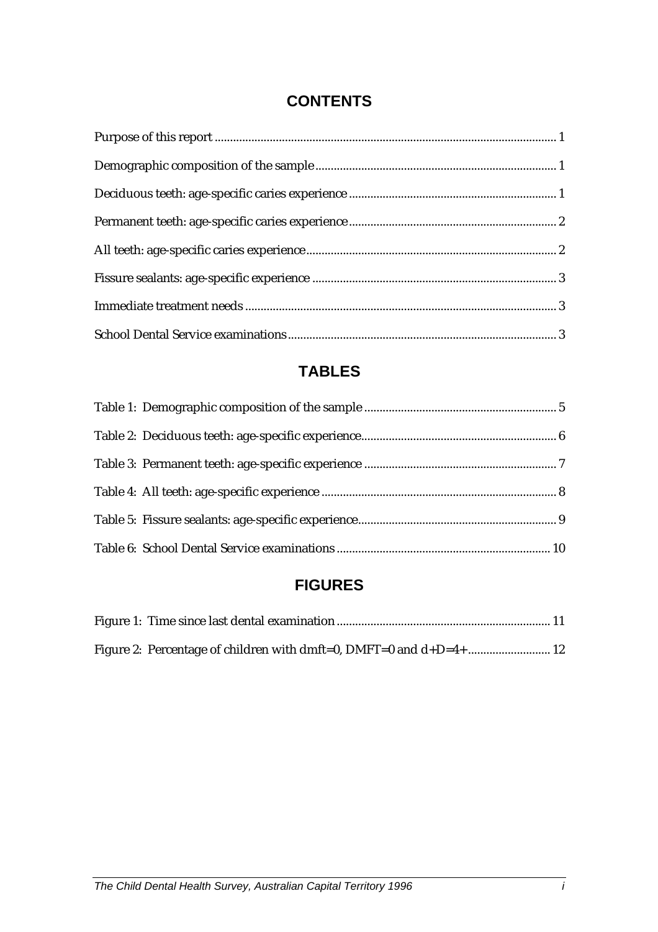# **CONTENTS**

# **TABLES**

# **FIGURES**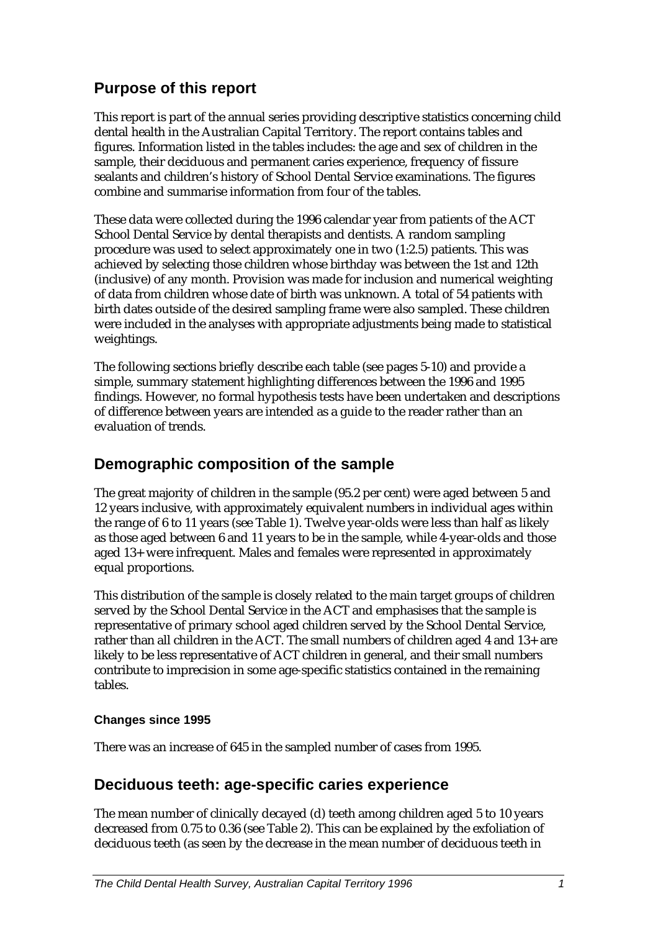# **Purpose of this report**

This report is part of the annual series providing descriptive statistics concerning child dental health in the Australian Capital Territory. The report contains tables and figures. Information listed in the tables includes: the age and sex of children in the sample, their deciduous and permanent caries experience, frequency of fissure sealants and children's history of School Dental Service examinations. The figures combine and summarise information from four of the tables.

These data were collected during the 1996 calendar year from patients of the ACT School Dental Service by dental therapists and dentists. A random sampling procedure was used to select approximately one in two (1:2.5) patients. This was achieved by selecting those children whose birthday was between the 1st and 12th (inclusive) of any month. Provision was made for inclusion and numerical weighting of data from children whose date of birth was unknown. A total of 54 patients with birth dates outside of the desired sampling frame were also sampled. These children were included in the analyses with appropriate adjustments being made to statistical weightings.

The following sections briefly describe each table (see pages 5-10) and provide a simple, summary statement highlighting differences between the 1996 and 1995 findings. However, no formal hypothesis tests have been undertaken and descriptions of difference between years are intended as a guide to the reader rather than an evaluation of trends.

# **Demographic composition of the sample**

The great majority of children in the sample (95.2 per cent) were aged between 5 and 12 years inclusive, with approximately equivalent numbers in individual ages within the range of 6 to 11 years (see Table 1). Twelve year-olds were less than half as likely as those aged between 6 and 11 years to be in the sample, while 4-year-olds and those aged 13+ were infrequent. Males and females were represented in approximately equal proportions.

This distribution of the sample is closely related to the main target groups of children served by the School Dental Service in the ACT and emphasises that the sample is representative of primary school aged children served by the School Dental Service, rather than all children in the ACT. The small numbers of children aged 4 and 13+ are likely to be less representative of ACT children in general, and their small numbers contribute to imprecision in some age-specific statistics contained in the remaining tables.

#### **Changes since 1995**

There was an increase of 645 in the sampled number of cases from 1995.

### **Deciduous teeth: age-specific caries experience**

The mean number of clinically decayed (d) teeth among children aged 5 to 10 years decreased from 0.75 to 0.36 (see Table 2). This can be explained by the exfoliation of deciduous teeth (as seen by the decrease in the mean number of deciduous teeth in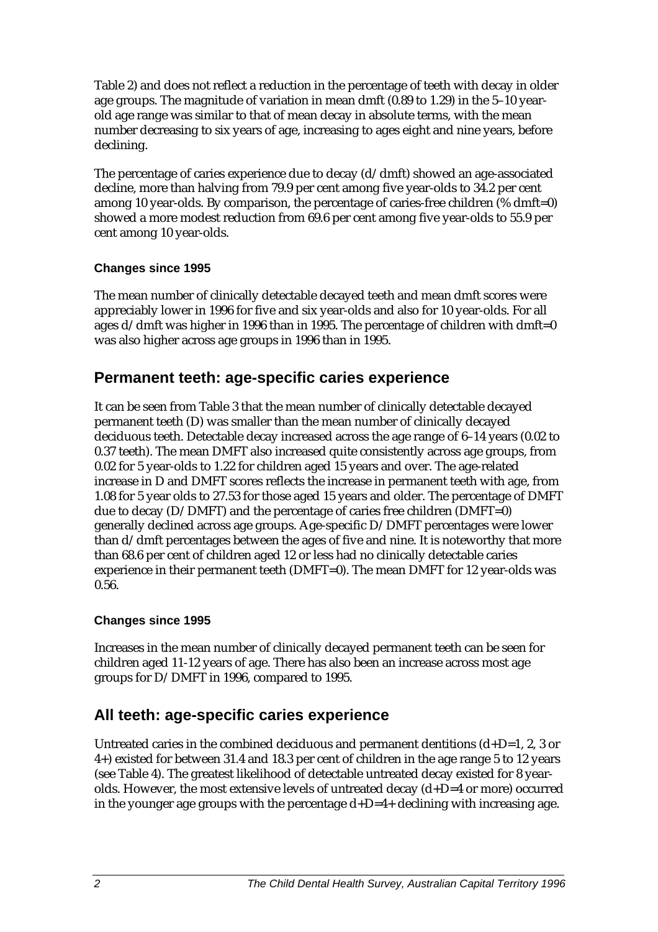Table 2) and does not reflect a reduction in the percentage of teeth with decay in older age groups. The magnitude of variation in mean dmft (0.89 to 1.29) in the 5–10 yearold age range was similar to that of mean decay in absolute terms, with the mean number decreasing to six years of age, increasing to ages eight and nine years, before declining.

The percentage of caries experience due to decay  $(d/dmft)$  showed an age-associated decline, more than halving from 79.9 per cent among five year-olds to 34.2 per cent among 10 year-olds. By comparison, the percentage of caries-free children (% dmft=0) showed a more modest reduction from 69.6 per cent among five year-olds to 55.9 per cent among 10 year-olds.

#### **Changes since 1995**

The mean number of clinically detectable decayed teeth and mean dmft scores were appreciably lower in 1996 for five and six year-olds and also for 10 year-olds. For all ages  $d/dmft$  was higher in 1996 than in 1995. The percentage of children with dmft=0 was also higher across age groups in 1996 than in 1995.

#### **Permanent teeth: age-specific caries experience**

It can be seen from Table 3 that the mean number of clinically detectable decayed permanent teeth (D) was smaller than the mean number of clinically decayed deciduous teeth. Detectable decay increased across the age range of 6–14 years (0.02 to 0.37 teeth). The mean DMFT also increased quite consistently across age groups, from 0.02 for 5 year-olds to 1.22 for children aged 15 years and over. The age-related increase in D and DMFT scores reflects the increase in permanent teeth with age, from 1.08 for 5 year olds to 27.53 for those aged 15 years and older. The percentage of DMFT due to decay (D/DMFT) and the percentage of caries free children (DMFT=0) generally declined across age groups. Age-specific D/DMFT percentages were lower than d/dmft percentages between the ages of five and nine. It is noteworthy that more than 68.6 per cent of children aged 12 or less had no clinically detectable caries experience in their permanent teeth (DMFT=0). The mean DMFT for 12 year-olds was 0.56.

#### **Changes since 1995**

Increases in the mean number of clinically decayed permanent teeth can be seen for children aged 11-12 years of age. There has also been an increase across most age groups for D/DMFT in 1996, compared to 1995.

# **All teeth: age-specific caries experience**

Untreated caries in the combined deciduous and permanent dentitions  $(d+D=1, 2, 3)$  or 4+) existed for between 31.4 and 18.3 per cent of children in the age range 5 to 12 years (see Table 4). The greatest likelihood of detectable untreated decay existed for 8 yearolds. However, the most extensive levels of untreated decay (d+D=4 or more) occurred in the younger age groups with the percentage  $d+D=4+$  declining with increasing age.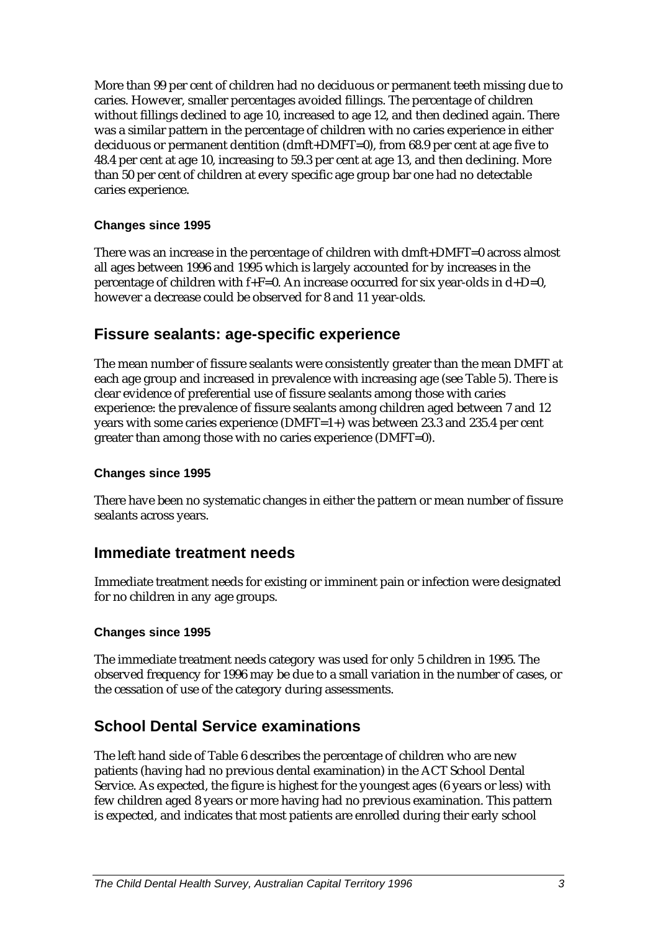More than 99 per cent of children had no deciduous or permanent teeth missing due to caries. However, smaller percentages avoided fillings. The percentage of children without fillings declined to age 10, increased to age 12, and then declined again. There was a similar pattern in the percentage of children with no caries experience in either deciduous or permanent dentition (dmft+DMFT=0), from 68.9 per cent at age five to 48.4 per cent at age 10, increasing to 59.3 per cent at age 13, and then declining. More than 50 per cent of children at every specific age group bar one had no detectable caries experience.

#### **Changes since 1995**

There was an increase in the percentage of children with dmft+DMFT=0 across almost all ages between 1996 and 1995 which is largely accounted for by increases in the percentage of children with f+F=0. An increase occurred for six year-olds in  $d+D=0$ , however a decrease could be observed for 8 and 11 year-olds.

#### **Fissure sealants: age-specific experience**

The mean number of fissure sealants were consistently greater than the mean DMFT at each age group and increased in prevalence with increasing age (see Table 5). There is clear evidence of preferential use of fissure sealants among those with caries experience: the prevalence of fissure sealants among children aged between 7 and 12 years with some caries experience (DMFT=1+) was between 23.3 and 235.4 per cent greater than among those with no caries experience (DMFT=0).

#### **Changes since 1995**

There have been no systematic changes in either the pattern or mean number of fissure sealants across years.

#### **Immediate treatment needs**

Immediate treatment needs for existing or imminent pain or infection were designated for no children in any age groups.

#### **Changes since 1995**

The immediate treatment needs category was used for only 5 children in 1995. The observed frequency for 1996 may be due to a small variation in the number of cases, or the cessation of use of the category during assessments.

### **School Dental Service examinations**

The left hand side of Table 6 describes the percentage of children who are new patients (having had no previous dental examination) in the ACT School Dental Service. As expected, the figure is highest for the youngest ages (6 years or less) with few children aged 8 years or more having had no previous examination. This pattern is expected, and indicates that most patients are enrolled during their early school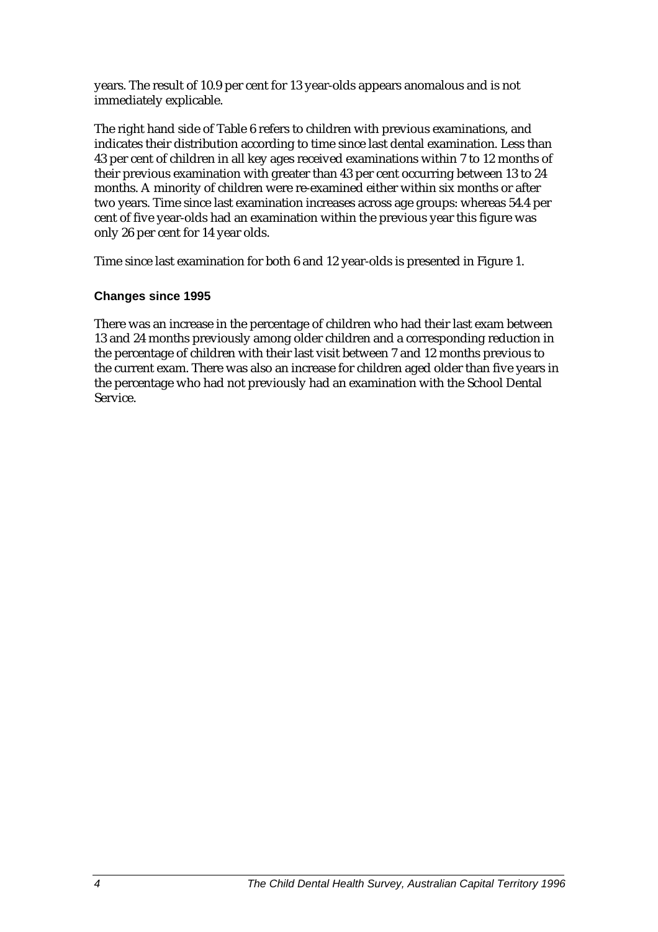years. The result of 10.9 per cent for 13 year-olds appears anomalous and is not immediately explicable.

The right hand side of Table 6 refers to children with previous examinations, and indicates their distribution according to time since last dental examination. Less than 43 per cent of children in all key ages received examinations within 7 to 12 months of their previous examination with greater than 43 per cent occurring between 13 to 24 months. A minority of children were re-examined either within six months or after two years. Time since last examination increases across age groups: whereas 54.4 per cent of five year-olds had an examination within the previous year this figure was only 26 per cent for 14 year olds.

Time since last examination for both 6 and 12 year-olds is presented in Figure 1.

#### **Changes since 1995**

There was an increase in the percentage of children who had their last exam between 13 and 24 months previously among older children and a corresponding reduction in the percentage of children with their last visit between 7 and 12 months previous to the current exam. There was also an increase for children aged older than five years in the percentage who had not previously had an examination with the School Dental Service.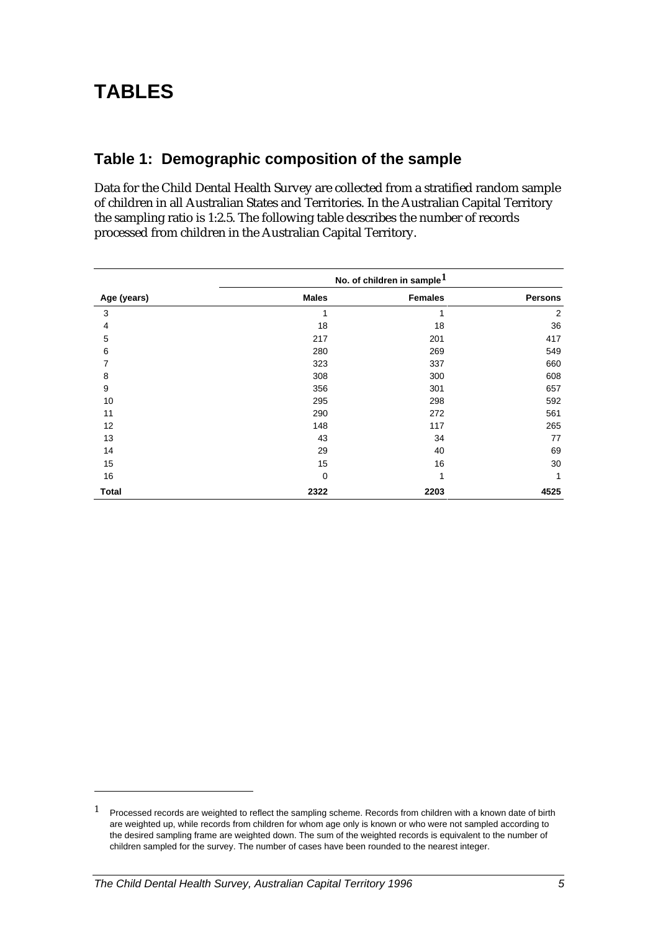# **Table 1: Demographic composition of the sample**

Data for the Child Dental Health Survey are collected from a stratified random sample of children in all Australian States and Territories. In the Australian Capital Territory the sampling ratio is 1:2.5. The following table describes the number of records processed from children in the Australian Capital Territory.

|              | No. of children in sample <sup>1</sup> |                |                |
|--------------|----------------------------------------|----------------|----------------|
| Age (years)  | <b>Males</b>                           | <b>Females</b> | <b>Persons</b> |
| 3            | 1                                      | 1              | $\overline{2}$ |
| 4            | 18                                     | 18             | 36             |
| 5            | 217                                    | 201            | 417            |
| 6            | 280                                    | 269            | 549            |
| 7            | 323                                    | 337            | 660            |
| 8            | 308                                    | 300            | 608            |
| 9            | 356                                    | 301            | 657            |
| 10           | 295                                    | 298            | 592            |
| 11           | 290                                    | 272            | 561            |
| 12           | 148                                    | 117            | 265            |
| 13           | 43                                     | 34             | 77             |
| 14           | 29                                     | 40             | 69             |
| 15           | 15                                     | 16             | 30             |
| 16           | 0                                      | 1              | 1              |
| <b>Total</b> | 2322                                   | 2203           | 4525           |

 $1$  Processed records are weighted to reflect the sampling scheme. Records from children with a known date of birth are weighted up, while records from children for whom age only is known or who were not sampled according to the desired sampling frame are weighted down. The sum of the weighted records is equivalent to the number of children sampled for the survey. The number of cases have been rounded to the nearest integer.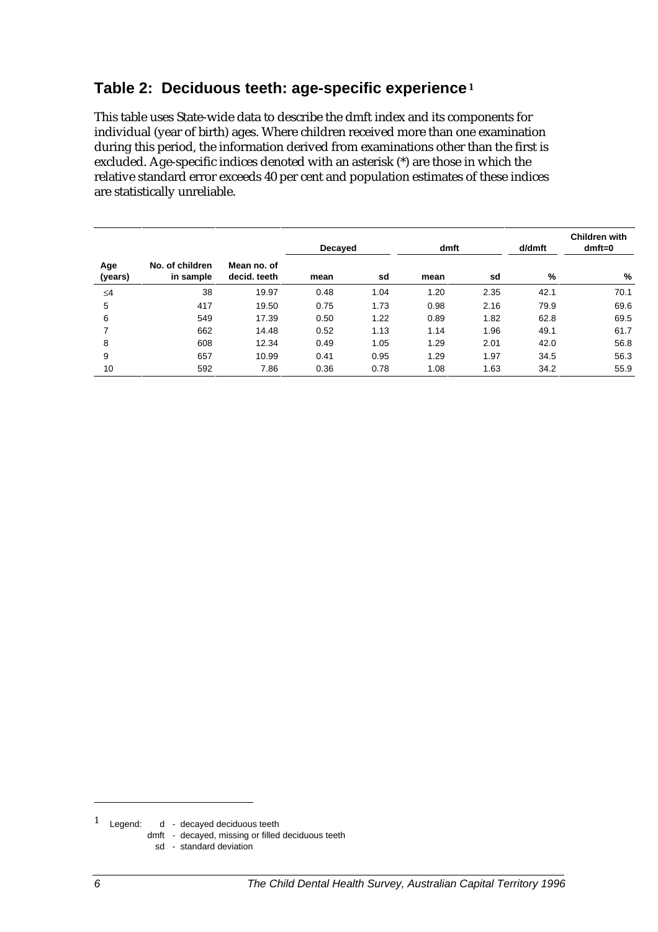### **Table 2: Deciduous teeth: age-specific experience<sup>1</sup>**

This table uses State-wide data to describe the dmft index and its components for individual (year of birth) ages. Where children received more than one examination during this period, the information derived from examinations other than the first is excluded. Age-specific indices denoted with an asterisk (\*) are those in which the relative standard error exceeds 40 per cent and population estimates of these indices are statistically unreliable.

|                |                              |                             | Decayed |      | dmft |      | d/dmft | <b>Children with</b><br>$dmft=0$ |  |
|----------------|------------------------------|-----------------------------|---------|------|------|------|--------|----------------------------------|--|
| Age<br>(years) | No. of children<br>in sample | Mean no. of<br>decid, teeth | mean    | sd   | mean | sd   | %      | %                                |  |
| $\leq 4$       | 38                           | 19.97                       | 0.48    | 1.04 | 1.20 | 2.35 | 42.1   | 70.1                             |  |
| 5              | 417                          | 19.50                       | 0.75    | 1.73 | 0.98 | 2.16 | 79.9   | 69.6                             |  |
| 6              | 549                          | 17.39                       | 0.50    | 1.22 | 0.89 | 1.82 | 62.8   | 69.5                             |  |
| 7              | 662                          | 14.48                       | 0.52    | 1.13 | 1.14 | 1.96 | 49.1   | 61.7                             |  |
| 8              | 608                          | 12.34                       | 0.49    | 1.05 | 1.29 | 2.01 | 42.0   | 56.8                             |  |
| 9              | 657                          | 10.99                       | 0.41    | 0.95 | 1.29 | 1.97 | 34.5   | 56.3                             |  |
| 10             | 592                          | 7.86                        | 0.36    | 0.78 | 1.08 | 1.63 | 34.2   | 55.9                             |  |

<sup>1</sup> Legend: d - decayed deciduous teeth

dmft - decayed, missing or filled deciduous teeth

sd - standard deviation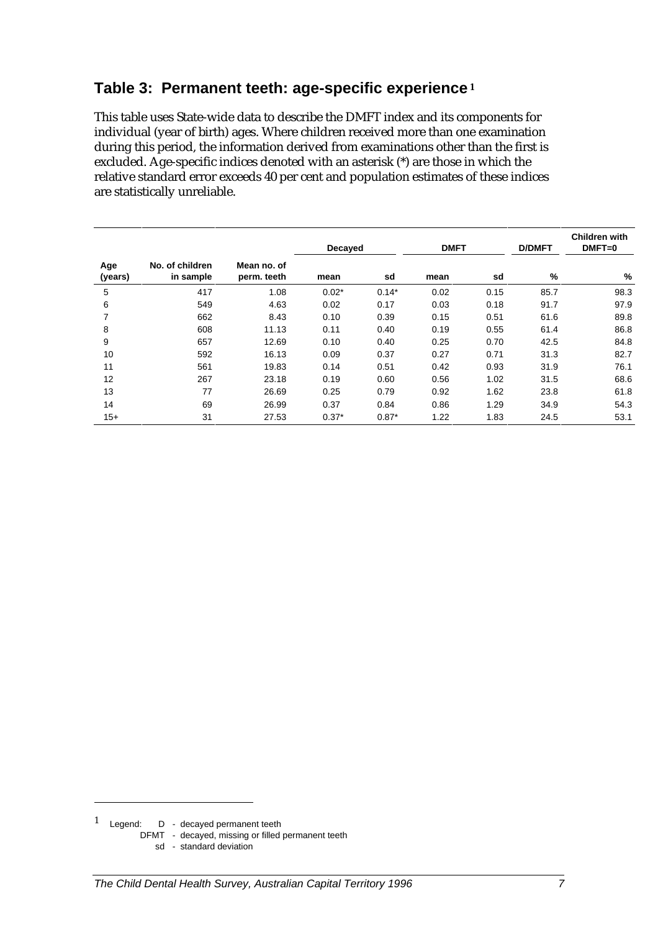#### **Table 3: Permanent teeth: age-specific experience<sup>1</sup>**

This table uses State-wide data to describe the DMFT index and its components for individual (year of birth) ages. Where children received more than one examination during this period, the information derived from examinations other than the first is excluded. Age-specific indices denoted with an asterisk (\*) are those in which the relative standard error exceeds 40 per cent and population estimates of these indices are statistically unreliable.

|                |                              |                            | Decayed |         | <b>DMFT</b> |      | <b>D/DMFT</b> | <b>Children with</b><br>$DMFT=0$ |  |
|----------------|------------------------------|----------------------------|---------|---------|-------------|------|---------------|----------------------------------|--|
| Age<br>(years) | No. of children<br>in sample | Mean no. of<br>perm. teeth | mean    | sd      | mean        | sd   | %             | %                                |  |
| 5              | 417                          | 1.08                       | $0.02*$ | $0.14*$ | 0.02        | 0.15 | 85.7          | 98.3                             |  |
| 6              | 549                          | 4.63                       | 0.02    | 0.17    | 0.03        | 0.18 | 91.7          | 97.9                             |  |
| 7              | 662                          | 8.43                       | 0.10    | 0.39    | 0.15        | 0.51 | 61.6          | 89.8                             |  |
| 8              | 608                          | 11.13                      | 0.11    | 0.40    | 0.19        | 0.55 | 61.4          | 86.8                             |  |
| 9              | 657                          | 12.69                      | 0.10    | 0.40    | 0.25        | 0.70 | 42.5          | 84.8                             |  |
| 10             | 592                          | 16.13                      | 0.09    | 0.37    | 0.27        | 0.71 | 31.3          | 82.7                             |  |
| 11             | 561                          | 19.83                      | 0.14    | 0.51    | 0.42        | 0.93 | 31.9          | 76.1                             |  |
| 12             | 267                          | 23.18                      | 0.19    | 0.60    | 0.56        | 1.02 | 31.5          | 68.6                             |  |
| 13             | 77                           | 26.69                      | 0.25    | 0.79    | 0.92        | 1.62 | 23.8          | 61.8                             |  |
| 14             | 69                           | 26.99                      | 0.37    | 0.84    | 0.86        | 1.29 | 34.9          | 54.3                             |  |
| $15+$          | 31                           | 27.53                      | $0.37*$ | $0.87*$ | 1.22        | 1.83 | 24.5          | 53.1                             |  |

-

DFMT - decayed, missing or filled permanent teeth

sd - standard deviation

<sup>1</sup> Legend: D - decayed permanent teeth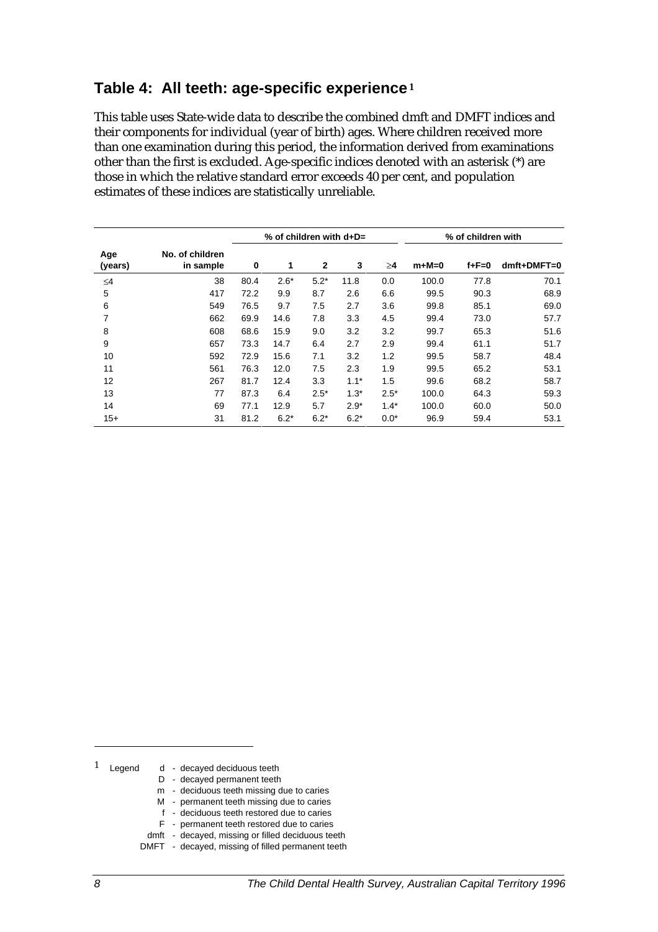#### **Table 4: All teeth: age-specific experience<sup>1</sup>**

This table uses State-wide data to describe the combined dmft and DMFT indices and their components for individual (year of birth) ages. Where children received more than one examination during this period, the information derived from examinations other than the first is excluded. Age-specific indices denoted with an asterisk (\*) are those in which the relative standard error exceeds 40 per cent, and population estimates of these indices are statistically unreliable.

|                |                              | % of children with $d+D=$ |        |              |        |        | % of children with |             |             |
|----------------|------------------------------|---------------------------|--------|--------------|--------|--------|--------------------|-------------|-------------|
| Age<br>(years) | No. of children<br>in sample | 0                         | 1      | $\mathbf{2}$ | 3      | ≥4     | $m+M=0$            | $f + F = 0$ | dmft+DMFT=0 |
| $\leq 4$       | 38                           | 80.4                      | $2.6*$ | $5.2*$       | 11.8   | 0.0    | 100.0              | 77.8        | 70.1        |
| 5              | 417                          | 72.2                      | 9.9    | 8.7          | 2.6    | 6.6    | 99.5               | 90.3        | 68.9        |
| 6              | 549                          | 76.5                      | 9.7    | 7.5          | 2.7    | 3.6    | 99.8               | 85.1        | 69.0        |
| 7              | 662                          | 69.9                      | 14.6   | 7.8          | 3.3    | 4.5    | 99.4               | 73.0        | 57.7        |
| 8              | 608                          | 68.6                      | 15.9   | 9.0          | 3.2    | 3.2    | 99.7               | 65.3        | 51.6        |
| 9              | 657                          | 73.3                      | 14.7   | 6.4          | 2.7    | 2.9    | 99.4               | 61.1        | 51.7        |
| 10             | 592                          | 72.9                      | 15.6   | 7.1          | 3.2    | 1.2    | 99.5               | 58.7        | 48.4        |
| 11             | 561                          | 76.3                      | 12.0   | 7.5          | 2.3    | 1.9    | 99.5               | 65.2        | 53.1        |
| 12             | 267                          | 81.7                      | 12.4   | 3.3          | $1.1*$ | 1.5    | 99.6               | 68.2        | 58.7        |
| 13             | 77                           | 87.3                      | 6.4    | $2.5*$       | $1.3*$ | $2.5*$ | 100.0              | 64.3        | 59.3        |
| 14             | 69                           | 77.1                      | 12.9   | 5.7          | $2.9*$ | $1.4*$ | 100.0              | 60.0        | 50.0        |
| $15+$          | 31                           | 81.2                      | $6.2*$ | $6.2*$       | $6.2*$ | $0.0*$ | 96.9               | 59.4        | 53.1        |

- $1$  Legend d decayed deciduous teeth
	- D decayed permanent teeth
	- m deciduous teeth missing due to caries
	- M permanent teeth missing due to caries
	- f deciduous teeth restored due to caries
	- F permanent teeth restored due to caries
	- dmft decayed, missing or filled deciduous teeth
	- DMFT decayed, missing of filled permanent teeth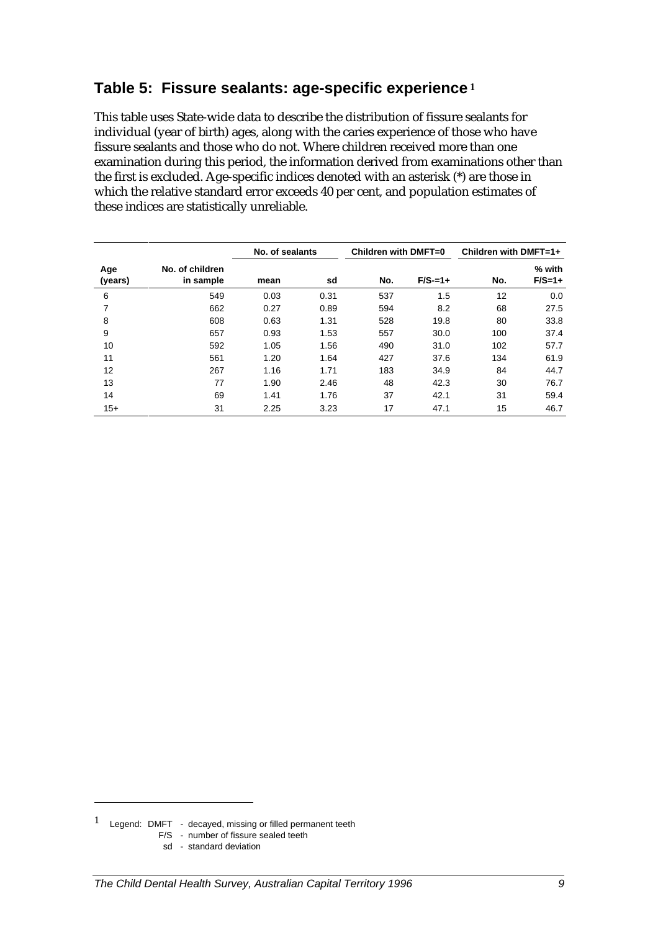### **Table 5: Fissure sealants: age-specific experience<sup>1</sup>**

This table uses State-wide data to describe the distribution of fissure sealants for individual (year of birth) ages, along with the caries experience of those who have fissure sealants and those who do not. Where children received more than one examination during this period, the information derived from examinations other than the first is excluded. Age-specific indices denoted with an asterisk (\*) are those in which the relative standard error exceeds 40 per cent, and population estimates of these indices are statistically unreliable.

|                |                              | No. of sealants |      | Children with DMFT=0 |            | Children with DMFT=1+ |                    |  |
|----------------|------------------------------|-----------------|------|----------------------|------------|-----------------------|--------------------|--|
| Age<br>(years) | No. of children<br>in sample | mean            | sd   | No.                  | $F/S = 1+$ | No.                   | % with<br>$F/S=1+$ |  |
| 6              | 549                          | 0.03            | 0.31 | 537                  | 1.5        | 12                    | 0.0                |  |
| 7              | 662                          | 0.27            | 0.89 | 594                  | 8.2        | 68                    | 27.5               |  |
| 8              | 608                          | 0.63            | 1.31 | 528                  | 19.8       | 80                    | 33.8               |  |
| 9              | 657                          | 0.93            | 1.53 | 557                  | 30.0       | 100                   | 37.4               |  |
| 10             | 592                          | 1.05            | 1.56 | 490                  | 31.0       | 102                   | 57.7               |  |
| 11             | 561                          | 1.20            | 1.64 | 427                  | 37.6       | 134                   | 61.9               |  |
| 12             | 267                          | 1.16            | 1.71 | 183                  | 34.9       | 84                    | 44.7               |  |
| 13             | 77                           | 1.90            | 2.46 | 48                   | 42.3       | 30                    | 76.7               |  |
| 14             | 69                           | 1.41            | 1.76 | 37                   | 42.1       | 31                    | 59.4               |  |
| $15+$          | 31                           | 2.25            | 3.23 | 17                   | 47.1       | 15                    | 46.7               |  |

sd - standard deviation

*The Child Dental Health Survey, Australian Capital Territory 1996 9*

<sup>1</sup> Legend: DMFT - decayed, missing or filled permanent teeth

F/S - number of fissure sealed teeth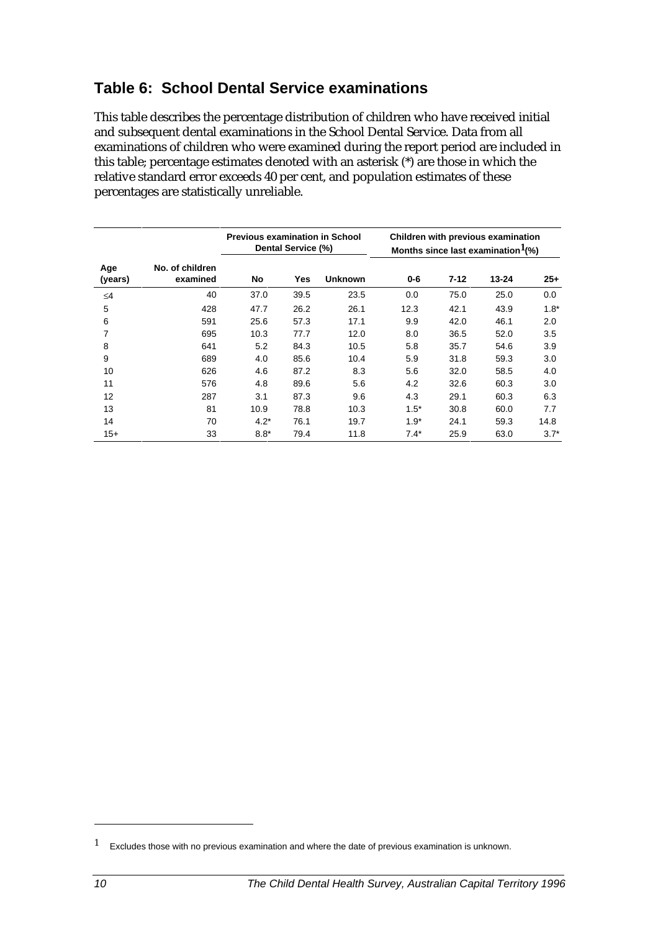# **Table 6: School Dental Service examinations**

This table describes the percentage distribution of children who have received initial and subsequent dental examinations in the School Dental Service. Data from all examinations of children who were examined during the report period are included in this table; percentage estimates denoted with an asterisk (\*) are those in which the relative standard error exceeds 40 per cent, and population estimates of these percentages are statistically unreliable.

|                |                             | <b>Previous examination in School</b> | Dental Service (%) |                | Children with previous examination<br>Months since last examination $l$ <sup>(%)</sup> |          |       |        |
|----------------|-----------------------------|---------------------------------------|--------------------|----------------|----------------------------------------------------------------------------------------|----------|-------|--------|
| Age<br>(years) | No. of children<br>examined | No                                    | Yes                | <b>Unknown</b> | $0 - 6$                                                                                | $7 - 12$ | 13-24 | $25 +$ |
| $\leq 4$       | 40                          | 37.0                                  | 39.5               | 23.5           | 0.0                                                                                    | 75.0     | 25.0  | 0.0    |
| 5              | 428                         | 47.7                                  | 26.2               | 26.1           | 12.3                                                                                   | 42.1     | 43.9  | $1.8*$ |
| 6              | 591                         | 25.6                                  | 57.3               | 17.1           | 9.9                                                                                    | 42.0     | 46.1  | 2.0    |
| 7              | 695                         | 10.3                                  | 77.7               | 12.0           | 8.0                                                                                    | 36.5     | 52.0  | 3.5    |
| 8              | 641                         | 5.2                                   | 84.3               | 10.5           | 5.8                                                                                    | 35.7     | 54.6  | 3.9    |
| 9              | 689                         | 4.0                                   | 85.6               | 10.4           | 5.9                                                                                    | 31.8     | 59.3  | 3.0    |
| 10             | 626                         | 4.6                                   | 87.2               | 8.3            | 5.6                                                                                    | 32.0     | 58.5  | 4.0    |
| 11             | 576                         | 4.8                                   | 89.6               | 5.6            | 4.2                                                                                    | 32.6     | 60.3  | 3.0    |
| 12             | 287                         | 3.1                                   | 87.3               | 9.6            | 4.3                                                                                    | 29.1     | 60.3  | 6.3    |
| 13             | 81                          | 10.9                                  | 78.8               | 10.3           | $1.5^*$                                                                                | 30.8     | 60.0  | 7.7    |
| 14             | 70                          | $4.2*$                                | 76.1               | 19.7           | $1.9*$                                                                                 | 24.1     | 59.3  | 14.8   |
| $15+$          | 33                          | $8.8*$                                | 79.4               | 11.8           | $7.4*$                                                                                 | 25.9     | 63.0  | $3.7*$ |

 $1 -$  Excludes those with no previous examination and where the date of previous examination is unknown.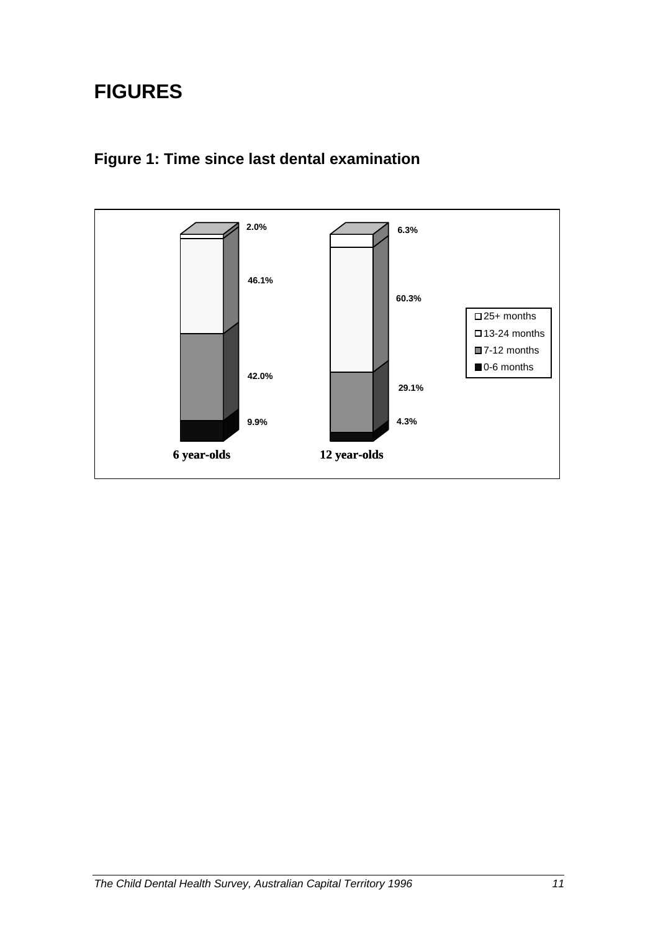# **FIGURES**



# **Figure 1: Time since last dental examination**